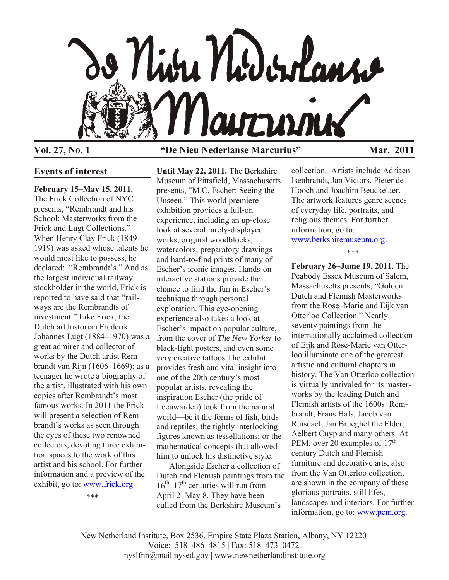

### **Vol. 27, No. 1 "De Nieu Nederlanse Marcurius" Mar. 2011**

### **Events of interest**

**February 15–May 15, 2011.** The Frick Collection of NYC presents, "Rembrandt and his School: Masterworks from the Frick and Lugt Collections." When Henry Clay Frick (1849– 1919) was asked whose talents he would most like to possess, he declared: "Rembrandt's." And as the largest individual railway stockholder in the world, Frick is reported to have said that "railways are the Rembrandts of investment." Like Frick, the Dutch art historian Frederik Johannes Lugt (1884–1970) was a great admirer and collector of works by the Dutch artist Rembrandt van Rijn (1606–1669); as a teenager he wrote a biography of the artist, illustrated with his own copies after Rembrandt's most famous works. In 2011 the Frick will present a selection of Rembrandt's works as seen through the eyes of these two renowned collectors, devoting three exhibition spaces to the work of this artist and his school. For further information and a preview of the exhibit, go to[: www.frick.org](http://www.frick.org).

\*\*\*

**Until May 22, 2011.** The Berkshire Museum of Pittsfield, Massachusetts presents, "M.C. Escher: Seeing the Unseen." This world premiere exhibition provides a full-on experience, including an up-close look at several rarely-displayed works, original woodblocks, watercolors, preparatory drawings and hard-to-find prints of many of Escher's iconic images. Hands-on interactive stations provide the chance to find the fun in Escher's technique through personal exploration. This eye-opening experience also takes a look at Escher's impact on popular culture, from the cover of *The New Yorker* to black-light posters, and even some very creative tattoos.The exhibit provides fresh and vital insight into one of the 20th century's most popular artists, revealing the inspiration Escher (the pride of Leeuwarden) took from the natural world—be it the forms of fish, birds and reptiles; the tightly interlocking figures known as tessellations; or the mathematical concepts that allowed him to unlock his distinctive style.

Alongside Escher a collection of Dutch and Flemish paintings from the  $16<sup>th</sup>-17<sup>th</sup>$  centuries will run from April 2–May 8. They have been culled from the Berkshire Museum's

collection. Artists include Adriaen Isenbrandt, Jan Victors, Pieter de Hooch and Joachim Beuckelaer. The artwork features genre scenes of everyday life, portraits, and religious themes. For further information, go to: [www.berkshiremuseum.org.](http://www.berkshiremuseum.org)

\*\*\*

**February 26–Jume 19, 2011.** The Peabody Essex Museum of Salem, Massachusetts presents, "Golden: Dutch and Flemish Masterworks from the Rose–Marie and Eijk van Otterloo Collection." Nearly seventy paintings from the internationally acclaimed collection of Eijk and Rose-Marie van Otterloo illuminate one of the greatest artistic and cultural chapters in history. The Van Otterloo collection is virtually unrivaled for its masterworks by the leading Dutch and Flemish artists of the 1600s: Rembrandt, Frans Hals, Jacob van Ruisdael, Jan Brueghel the Elder, Aelbert Cuyp and many others. At PEM, over 20 examples of  $17<sup>th</sup>$ century Dutch and Flemish furniture and decorative arts, also from the Van Otterloo collection, are shown in the company of these glorious portraits, still lifes, landscapes and interiors. For further information, go t[o: www.pem.org](http://wwwpem.org).

New Netherland Institute, Box 2536, Empire State Plaza Station, Albany, NY 12220 Voice: 518–486–4815 | Fax: 518–473–0472 nyslfnn@mail.nysed.gov | www.newnetherlandinstitute.org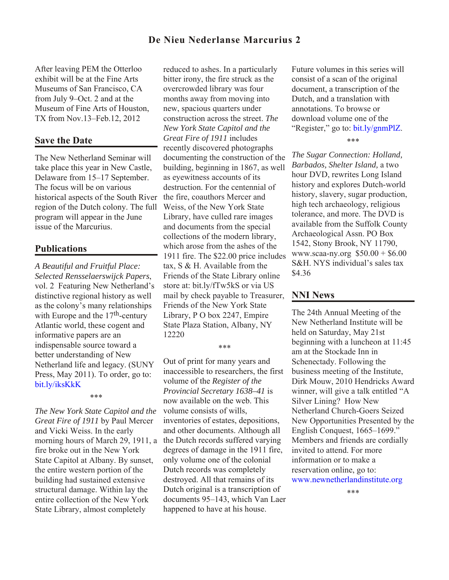# **De Nieu Nederlanse Marcurius 2**

After leaving PEM the Otterloo exhibit will be at the Fine Arts Museums of San Francisco, CA from July 9–Oct. 2 and at the Museum of Fine Arts of Houston, TX from Nov.13–Feb.12, 2012

#### **Save the Date**

The New Netherland Seminar will take place this year in New Castle, Delaware from 15–17 September. The focus will be on various historical aspects of the South River region of the Dutch colony. The full program will appear in the June issue of the Marcurius.

### **Publications**

*A Beautiful and Fruitful Place: Selected Rensselaerswijck Papers*, vol. 2 Featuring New Netherland's distinctive regional history as well as the colony's many relationships with Europe and the  $17<sup>th</sup>$ -century Atlantic world, these cogent and informative papers are an indispensable source toward a better understanding of New Netherland life and legacy. (SUNY [Press, May 2011\). To orde](http://bit.ly/iksKkK)r, go to: bit.ly/iksKkK

#### \*\*\*

*The New York State Capitol and the Great Fire of 1911* by Paul Mercer and Vicki Weiss. In the early morning hours of March 29, 1911, a fire broke out in the New York State Capitol at Albany. By sunset, the entire western portion of the building had sustained extensive structural damage. Within lay the entire collection of the New York State Library, almost completely

reduced to ashes. In a particularly bitter irony, the fire struck as the overcrowded library was four months away from moving into new, spacious quarters under construction across the street. *The New York State Capitol and the Great Fire of 1911* includes recently discovered photographs documenting the construction of the building, beginning in 1867, as well as eyewitness accounts of its destruction. For the centennial of the fire, coauthors Mercer and Weiss, of the New York State Library, have culled rare images and documents from the special collections of the modern library, which arose from the ashes of the 1911 fire. The \$22.00 price includes tax, S & H. Available from the Friends of the State Library online store at: bit.ly/fTw5kS or via US mail by check payable to Treasurer, Friends of the New York State Library, P O box 2247, Empire State Plaza Station, Albany, NY 12220

\*\*\*

Out of print for many years and inaccessible to researchers, the first volume of the *Register of the Provincial Secretary 1638–41* is now available on the web. This volume consists of wills, inventories of estates, depositions, and other documents. Although all the Dutch records suffered varying degrees of damage in the 1911 fire, only volume one of the colonial Dutch records was completely destroyed. All that remains of its Dutch original is a transcription of documents 95–143, which Van Laer happened to have at his house.

Future volumes in this series will consist of a scan of the original document, a transcription of the Dutch, and a translation with annotations. To browse or download volume one of the "Register," go to: [bit.ly/gnmPlZ.](http://bit.ly/gnmPLZ)

\*\*\*

*The Sugar Connection: Holland, Barbados, Shelter Island,* a two hour DVD, rewrites Long Island history and explores Dutch-world history, slavery, sugar production, high tech archaeology, religious tolerance, and more. The DVD is available from the Suffolk County Archaeological Assn. PO Box 1542, Stony Brook, NY 11790, www.scaa-ny.org \$50.00 + \$6.00 S&H. NYS individual's sales tax \$4.36

### **NNI News**

The 24th Annual Meeting of the New Netherland Institute will be held on Saturday, May 21st beginning with a luncheon at 11:45 am at the Stockade Inn in Schenectady. Following the business meeting of the Institute, Dirk Mouw, 2010 Hendricks Award winner, will give a talk entitled "A Silver Lining? How New Netherland Church-Goers Seized New Opportunities Presented by the English Conquest, 1665–1699." Members and friends are cordially invited to attend. For more information or to make a reservation online, go to: [www.newnetherlandinstitute.org](http://www.nnp.org/nni/Events/annualmeeting.html)

\*\*\*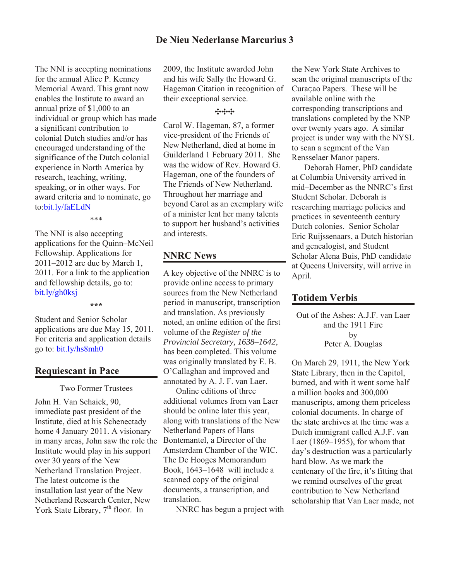The NNI is accepting nominations for the annual Alice P. Kenney Memorial Award. This grant now enables the Institute to award an annual prize of \$1,000 to an individual or group which has made a significant contribution to colonial Dutch studies and/or has encouraged understanding of the significance of the Dutch colonial experience in North America by research, teaching, writing, speaking, or in other ways. For [award criteria and](bit.ly/faELdN) to nominate, go to:bit.ly/faELdN

\*\*\*

The NNI is also accepting applications for the Quinn–McNeil Fellowship. Applications for 2011–2012 are due by March 1, 2011. For a link to the application and fellowship details, go to: bit.ly/gh0ksj

**\*\*\***

Student and Senior Scholar applications are due May 15, 2011. [For criteria and applicat](http://bit.ly/hs8mh0)ion details go to: bit.ly/hs8mh0

## **Requiescant in Pace**

Two Former Trustees

John H. Van Schaick, 90, immediate past president of the Institute, died at his Schenectady home 4 January 2011. A visionary in many areas, John saw the role the Institute would play in his support over 30 years of the New Netherland Translation Project. The latest outcome is the installation last year of the New Netherland Research Center, New York State Library,  $7<sup>th</sup>$  floor. In

2009, the Institute awarded John and his wife Sally the Howard G. Hageman Citation in recognition of their exceptional service.

### ---

Carol W. Hageman, 87, a former vice-president of the Friends of New Netherland, died at home in Guilderland 1 February 2011. She was the widow of Rev. Howard G. Hageman, one of the founders of The Friends of New Netherland. Throughout her marriage and beyond Carol as an exemplary wife of a minister lent her many talents to support her husband's activities and interests.

# **NNRC News**

A key objective of the NNRC is to provide online access to primary sources from the New Netherland period in manuscript, transcription and translation. As previously noted, an online edition of the first volume of the *Register of the Provincial Secretary, 1638–1642*, has been completed. This volume was originally translated by E. B. O'Callaghan and improved and annotated by A. J. F. van Laer.

Online editions of three additional volumes from van Laer should be online later this year, along with translations of the New Netherland Papers of Hans Bontemantel, a Director of the Amsterdam Chamber of the WIC. The De Hooges Memorandum Book, 1643–1648 will include a scanned copy of the original documents, a transcription, and translation.

NNRC has begun a project with

the New York State Archives to scan the original manuscripts of the CuraÇao Papers. These will be available online with the corresponding transcriptions and translations completed by the NNP over twenty years ago. A similar project is under way with the NYSL to scan a segment of the Van Rensselaer Manor papers.

Deborah Hamer, PhD candidate at Columbia University arrived in mid–December as the NNRC's first Student Scholar. Deborah is researching marriage policies and practices in seventeenth century Dutch colonies. Senior Scholar Eric Ruijssenaars, a Dutch historian and genealogist, and Student Scholar Alena Buis, PhD candidate at Queens University, will arrive in April.

# **Totidem Verbis**

Out of the Ashes: A.J.F. van Laer and the 1911 Fire by Peter A. Douglas

On March 29, 1911, the New York State Library, then in the Capitol, burned, and with it went some half a million books and 300,000 manuscripts, among them priceless colonial documents. In charge of the state archives at the time was a Dutch immigrant called A.J.F. van Laer (1869–1955), for whom that day's destruction was a particularly hard blow. As we mark the centenary of the fire, it's fitting that we remind ourselves of the great contribution to New Netherland scholarship that Van Laer made, not